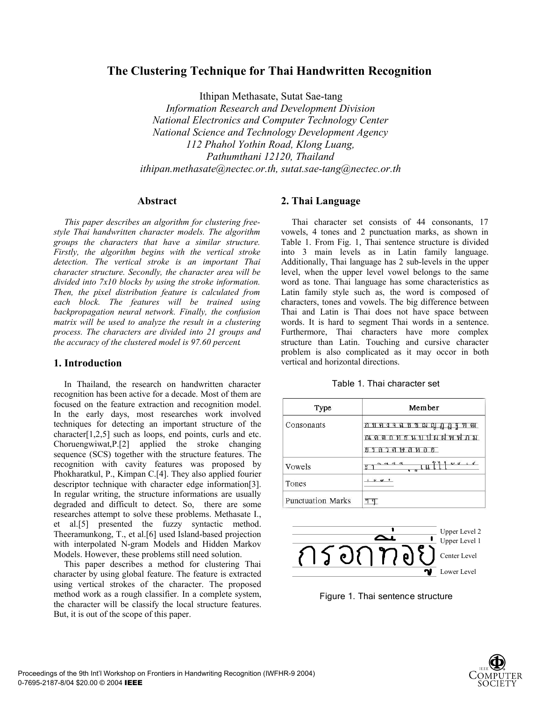# **The Clustering Technique for Thai Handwritten Recognition**

Ithipan Methasate, Sutat Sae-tang

*Information Research and Development Division National Electronics and Computer Technology Center National Science and Technology Development Agency 112 Phahol Yothin Road, Klong Luang, Pathumthani 12120, Thailand ithipan.methasate@nectec.or.th, sutat.sae-tang@nectec.or.th*

#### **Abstract**

*This paper describes an algorithm for clustering freestyle Thai handwritten character models. The algorithm groups the characters that have a similar structure. Firstly, the algorithm begins with the vertical stroke detection. The vertical stroke is an important Thai character structure. Secondly, the character area will be divided into 7x10 blocks by using the stroke information. Then, the pixel distribution feature is calculated from each block. The features will be trained using backpropagation neural network. Finally, the confusion matrix will be used to analyze the result in a clustering process. The characters are divided into 21 groups and the accuracy of the clustered model is 97.60 percent.*

#### **1. Introduction**

In Thailand, the research on handwritten character recognition has been active for a decade. Most of them are focused on the feature extraction and recognition model. In the early days, most researches work involved techniques for detecting an important structure of the character[1,2,5] such as loops, end points, curls and etc. Choruengwiwat,P.[2] applied the stroke changing sequence (SCS) together with the structure features. The recognition with cavity features was proposed by Phokharatkul, P., Kimpan C.[4]. They also applied fourier descriptor technique with character edge information[3]. In regular writing, the structure informations are usually degraded and difficult to detect. So, there are some researches attempt to solve these problems. Methasate I., et al.[5] presented the fuzzy syntactic method. Theeramunkong, T., et al.[6] used Island-based projection with interpolated N-gram Models and Hidden Markov Models. However, these problems still need solution.

This paper describes a method for clustering Thai character by using global feature. The feature is extracted using vertical strokes of the character. The proposed method work as a rough classifier. In a complete system, the character will be classify the local structure features. But, it is out of the scope of this paper.

### **2. Thai Language**

Thai character set consists of 44 consonants, 17 vowels, 4 tones and 2 punctuation marks, as shown in Table 1. From Fig. 1, Thai sentence structure is divided into 3 main levels as in Latin family language. Additionally, Thai language has 2 sub-levels in the upper level, when the upper level vowel belongs to the same word as tone. Thai language has some characteristics as Latin family style such as, the word is composed of characters, tones and vowels. The big difference between Thai and Latin is Thai does not have space between words. It is hard to segment Thai words in a sentence. Furthermore, Thai characters have more complex structure than Latin. Touching and cursive character problem is also complicated as it may occor in both vertical and horizontal directions.

| Table 1. Thai character set |  |
|-----------------------------|--|
|-----------------------------|--|

| Type                     | Member                                                                                                  |  |  |  |  |
|--------------------------|---------------------------------------------------------------------------------------------------------|--|--|--|--|
| Consonants               | ท ท ณ ญ ฏ ฎ ร ฑ ฒ<br>ิก<br>श<br>คง<br>ฉ<br>ন<br><b>AL NL</b><br>M<br>R.<br>67<br>าซ ส<br>ทอฮ<br>ଟ<br>ଜା |  |  |  |  |
| Vowels                   | es co<br>ų                                                                                              |  |  |  |  |
| Tones                    | $\overline{u}$                                                                                          |  |  |  |  |
| <b>Punctuation Marks</b> |                                                                                                         |  |  |  |  |



Figure 1. Thai sentence structure

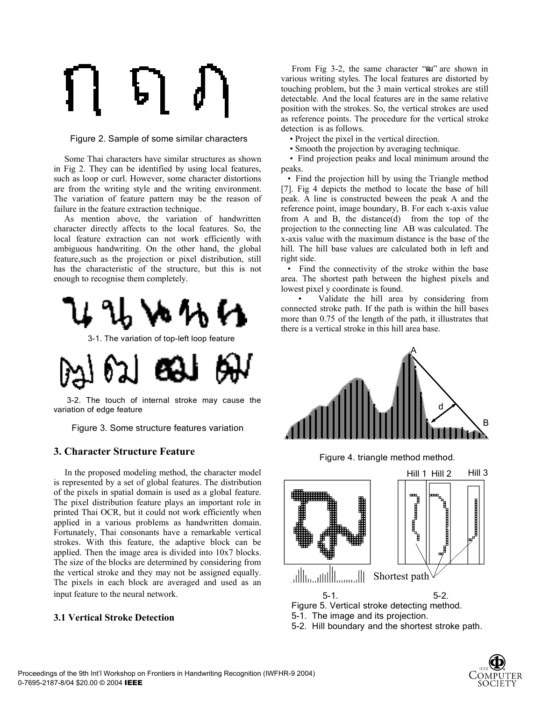Figure 2. Sample of some similar characters

Some Thai characters have similar structures as shown in Fig 2. They can be identified by using local features, such as loop or curl. However, some character distortions are from the writing style and the writing environment. The variation of feature pattern may be the reason of failure in the feature extraction technique.

As mention above, the variation of handwritten character directly affects to the local features. So, the local feature extraction can not work efficiently with ambiguous handwriting. On the other hand, the global feature,such as the projection or pixel distribution, still has the characteristic of the structure, but this is not enough to recognise them completely.



3-1. The variation of top-left loop feature



3-2. The touch of internal stroke may cause the variation of edge feature

Figure 3. Some structure features variation

# **3. Character Structure Feature**

In the proposed modeling method, the character model is represented by a set of global features. The distribution of the pixels in spatial domain is used as a global feature. The pixel distribution feature plays an important role in printed Thai OCR, but it could not work efficiently when applied in a various problems as handwritten domain. Fortunately, Thai consonants have a remarkable vertical strokes. With this feature, the adaptive block can be applied. Then the image area is divided into 10x7 blocks. The size of the blocks are determined by considering from the vertical stroke and they may not be assigned equally. The pixels in each block are averaged and used as an input feature to the neural network.

### **3.1 Vertical Stroke Detection**

From Fig 3-2, the same character "and" are shown in various writing styles. The local features are distorted by touching problem, but the 3 main vertical strokes are still detectable. And the local features are in the same relative position with the strokes. So, the vertical strokes are used as reference points. The procedure for the vertical stroke detection is as follows.

• Project the pixel in the vertical direction.

• Smooth the projection by averaging technique.

 • Find projection peaks and local minimum around the peaks.

 • Find the projection hill by using the Triangle method [7]. Fig 4 depicts the method to locate the base of hill peak. A line is constructed beween the peak A and the reference point, image boundary, B. For each x-axis value from A and B, the distance(d) from the top of the projection to the connecting line AB was calculated. The x-axis value with the maximum distance is the base of the hill. The hill base values are calculated both in left and right side.

 • Find the connectivity of the stroke within the base area. The shortest path between the highest pixels and lowest pixel y coordinate is found.

 • Validate the hill area by considering from connected stroke path. If the path is within the hill bases more than 0.75 of the length of the path, it illustrates that there is a vertical stroke in this hill area base.



Figure 4. triangle method method.



5-2. Hill boundary and the shortest stroke path.

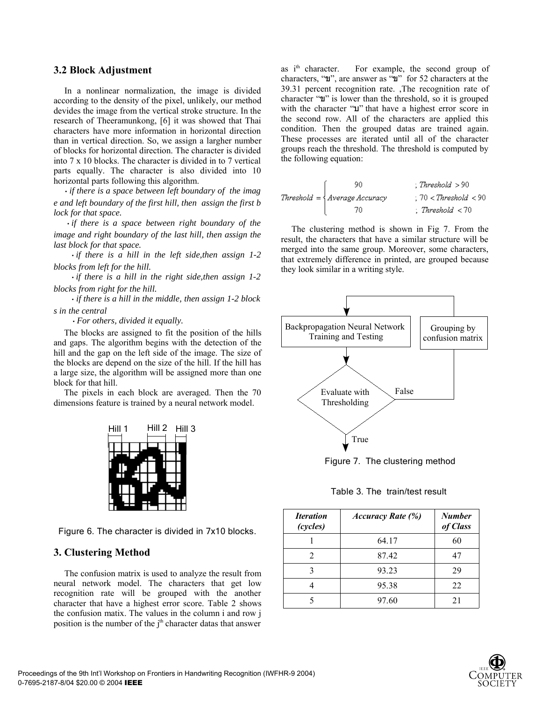#### **3.2 Block Adjustment**

In a nonlinear normalization, the image is divided according to the density of the pixel, unlikely, our method devides the image from the vertical stroke structure. In the research of Theeramunkong, [6] it was showed that Thai characters have more information in horizontal direction than in vertical direction. So, we assign a largher number of blocks for horizontal direction. The character is divided into 7 x 10 blocks. The character is divided in to 7 vertical parts equally. The character is also divided into 10 horizontal parts following this algorithm.

*• if there is a space between left boundary of the imag e and left boundary of the first hill, then assign the first b lock for that space.*

*• if there is a space between right boundary of the image and right boundary of the last hill, then assign the last block for that space.*

 *• if there is a hill in the left side,then assign 1-2 blocks from left for the hill.*

 *• if there is a hill in the right side,then assign 1-2 blocks from right for the hill.*

 *• if there is a hill in the middle, then assign 1-2 block s in the central* 

 *• For others, divided it equally.*

The blocks are assigned to fit the position of the hills and gaps. The algorithm begins with the detection of the hill and the gap on the left side of the image. The size of the blocks are depend on the size of the hill. If the hill has a large size, the algorithm will be assigned more than one block for that hill.

The pixels in each block are averaged. Then the 70 dimensions feature is trained by a neural network model.



Figure 6. The character is divided in 7x10 blocks.

#### **3. Clustering Method**

The confusion matrix is used to analyze the result from neural network model. The characters that get low recognition rate will be grouped with the another character that have a highest error score. Table 2 shows the confusion matix. The values in the column i and row j position is the number of the j<sup>th</sup> character datas that answer

as i<sup>th</sup> character. For example, the second group of characters, "ข", are answer as "ข" for 52 characters at the 39.31 percent recognition rate. ,The recognition rate of character "ข" is lower than the threshold, so it is grouped with the character "บ" that have a highest error score in the second row. All of the characters are applied this condition. Then the grouped datas are trained again. These processes are iterated until all of the character groups reach the threshold. The threshold is computed by the following equation:

| 90.                               | $\therefore$ Threshold $>90$    |
|-----------------------------------|---------------------------------|
| $Threshold = \{ Average Accuracy$ | $:70 <$ Threshold $< 90$        |
| 70                                | $\therefore$ Threshold $\lt 70$ |

The clustering method is shown in Fig 7. From the result, the characters that have a similar structure will be merged into the same group. Moreover, some characters, that extremely difference in printed, are grouped because they look similar in a writing style.



Figure 7. The clustering method

Table 3. The train/test result

| <i><u><b>Iteration</b></u></i><br>(cycles) | <b>Accuracy Rate (%)</b> | <b>Number</b><br>of Class |
|--------------------------------------------|--------------------------|---------------------------|
|                                            | 64.17                    | 60                        |
| $\mathfrak{D}$                             | 87.42                    | 47                        |
|                                            | 93.23                    | 29                        |
|                                            | 95.38                    | 22                        |
|                                            | 97.60                    | 21                        |

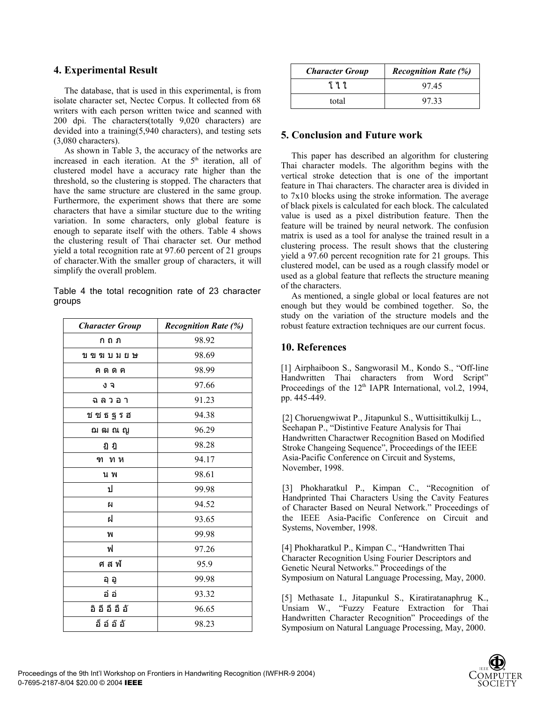## **4. Experimental Result**

The database, that is used in this experimental, is from isolate character set, Nectec Corpus. It collected from 68 writers with each person written twice and scanned with 200 dpi. The characters(totally 9,020 characters) are devided into a training(5,940 characters), and testing sets (3,080 characters).

As shown in Table 3, the accuracy of the networks are increased in each iteration. At the  $5<sup>th</sup>$  iteration, all of clustered model have a accuracy rate higher than the threshold, so the clustering is stopped. The characters that have the same structure are clustered in the same group. Furthermore, the experiment shows that there are some characters that have a similar stucture due to the writing variation. In some characters, only global feature is enough to separate itself with the others. Table 4 shows the clustering result of Thai character set. Our method yield a total recognition rate at 97.60 percent of 21 groups of character.With the smaller group of characters, it will simplify the overall problem.

Table 4 the total recognition rate of 23 character groups

| <b>Character Group</b> | <b>Recognition Rate (%)</b> |
|------------------------|-----------------------------|
| ก ถ ภ                  | 98.92                       |
| ขขฆบมยษ                | 98.69                       |
| คตดค                   | 98.99                       |
| งจ                     | 97.66                       |
| ฉลวอา                  | 91.23                       |
| ช ซ ธ ฐ ร ฮ            | 94.38                       |
| ฌ ฒ ณ ญ                | 96.29                       |
| ฏ ฎ                    | 98.28                       |
| ฑ ทห                   | 94.17                       |
| น พ                    | 98.61                       |
| ป                      | 99.98                       |
| ผ                      | 94.52                       |
| ฝ                      | 93.65                       |
| พ                      | 99.98                       |
| ฟ                      | 97.26                       |
| ศสฟ์                   | 95.9                        |
| อุ อู                  | 99.98                       |
| อ๋ อ่                  | 93.32                       |
| อิอีอึอือั             | 96.65                       |
| อ็อ์อ๊อั               | 98.23                       |

| <b>Character Group</b> | <b>Recognition Rate (%)</b> |  |  |  |
|------------------------|-----------------------------|--|--|--|
| ፲ሂጊ                    | 9745                        |  |  |  |
| total                  | 9733                        |  |  |  |

### **5. Conclusion and Future work**

This paper has described an algorithm for clustering Thai character models. The algorithm begins with the vertical stroke detection that is one of the important feature in Thai characters. The character area is divided in to 7x10 blocks using the stroke information. The average of black pixels is calculated for each block. The calculated value is used as a pixel distribution feature. Then the feature will be trained by neural network. The confusion matrix is used as a tool for analyse the trained result in a clustering process. The result shows that the clustering yield a 97.60 percent recognition rate for 21 groups. This clustered model, can be used as a rough classify model or used as a global feature that reflects the structure meaning of the characters.

As mentioned, a single global or local features are not enough but they would be combined together. So, the study on the variation of the structure models and the robust feature extraction techniques are our current focus.

# **10. References**

[1] Airphaiboon S., Sangworasil M., Kondo S., "Off-line Handwritten Thai characters from Word Script" Proceedings of the 12<sup>th</sup> IAPR International, vol.2, 1994, pp. 445-449.

[2] Choruengwiwat P., Jitapunkul S., Wuttisittikulkij L., Seehapan P., "Distintive Feature Analysis for Thai Handwritten Charactwer Recognition Based on Modified Stroke Changeing Sequence", Proceedings of the IEEE Asia-Pacific Conference on Circuit and Systems, November, 1998.

[3] Phokharatkul P., Kimpan C., "Recognition of Handprinted Thai Characters Using the Cavity Features of Character Based on Neural Network." Proceedings of the IEEE Asia-Pacific Conference on Circuit and Systems, November, 1998.

[4] Phokharatkul P., Kimpan C., "Handwritten Thai Character Recognition Using Fourier Descriptors and Genetic Neural Networks." Proceedings of the Symposium on Natural Language Processing, May, 2000.

[5] Methasate I., Jitapunkul S., Kiratiratanaphrug K., Unsiam W., "Fuzzy Feature Extraction for Thai Handwritten Character Recognition" Proceedings of the Symposium on Natural Language Processing, May, 2000.